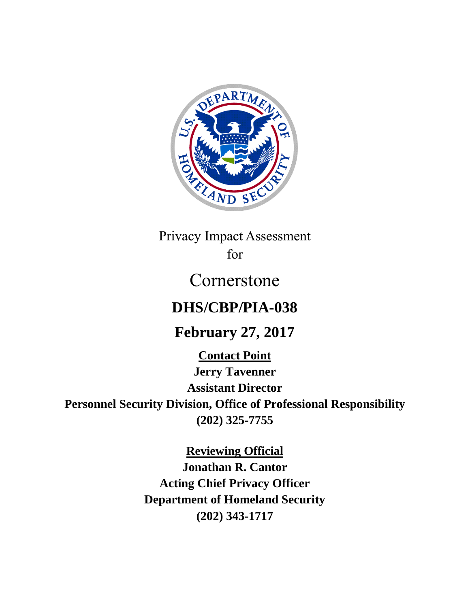

Privacy Impact Assessment for

# Cornerstone

# **DHS/CBP/PIA-038**

# **February 27, 2017**

**Contact Point**

**Jerry Tavenner Assistant Director**

**Personnel Security Division, Office of Professional Responsibility (202) 325-7755**

**Reviewing Official**

**Jonathan R. Cantor Acting Chief Privacy Officer Department of Homeland Security (202) 343-1717**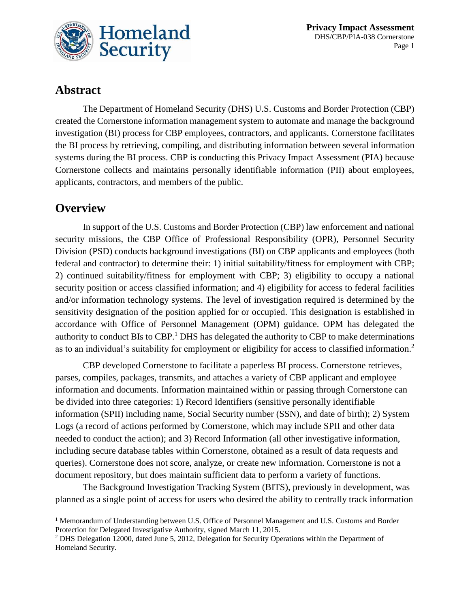

# **Abstract**

The Department of Homeland Security (DHS) U.S. Customs and Border Protection (CBP) created the Cornerstone information management system to automate and manage the background investigation (BI) process for CBP employees, contractors, and applicants. Cornerstone facilitates the BI process by retrieving, compiling, and distributing information between several information systems during the BI process. CBP is conducting this Privacy Impact Assessment (PIA) because Cornerstone collects and maintains personally identifiable information (PII) about employees, applicants, contractors, and members of the public.

### **Overview**

 $\overline{a}$ 

In support of the U.S. Customs and Border Protection (CBP) law enforcement and national security missions, the CBP Office of Professional Responsibility (OPR), Personnel Security Division (PSD) conducts background investigations (BI) on CBP applicants and employees (both federal and contractor) to determine their: 1) initial suitability/fitness for employment with CBP; 2) continued suitability/fitness for employment with CBP; 3) eligibility to occupy a national security position or access classified information; and 4) eligibility for access to federal facilities and/or information technology systems. The level of investigation required is determined by the sensitivity designation of the position applied for or occupied. This designation is established in accordance with Office of Personnel Management (OPM) guidance. OPM has delegated the authority to conduct BIs to CBP.<sup>1</sup> DHS has delegated the authority to CBP to make determinations as to an individual's suitability for employment or eligibility for access to classified information.<sup>2</sup>

CBP developed Cornerstone to facilitate a paperless BI process. Cornerstone retrieves, parses, compiles, packages, transmits, and attaches a variety of CBP applicant and employee information and documents. Information maintained within or passing through Cornerstone can be divided into three categories: 1) Record Identifiers (sensitive personally identifiable information (SPII) including name, Social Security number (SSN), and date of birth); 2) System Logs (a record of actions performed by Cornerstone, which may include SPII and other data needed to conduct the action); and 3) Record Information (all other investigative information, including secure database tables within Cornerstone, obtained as a result of data requests and queries). Cornerstone does not score, analyze, or create new information. Cornerstone is not a document repository, but does maintain sufficient data to perform a variety of functions.

The Background Investigation Tracking System (BITS), previously in development, was planned as a single point of access for users who desired the ability to centrally track information

<sup>&</sup>lt;sup>1</sup> Memorandum of Understanding between U.S. Office of Personnel Management and U.S. Customs and Border Protection for Delegated Investigative Authority, signed March 11, 2015.

<sup>&</sup>lt;sup>2</sup> DHS Delegation 12000, dated June 5, 2012, Delegation for Security Operations within the Department of Homeland Security.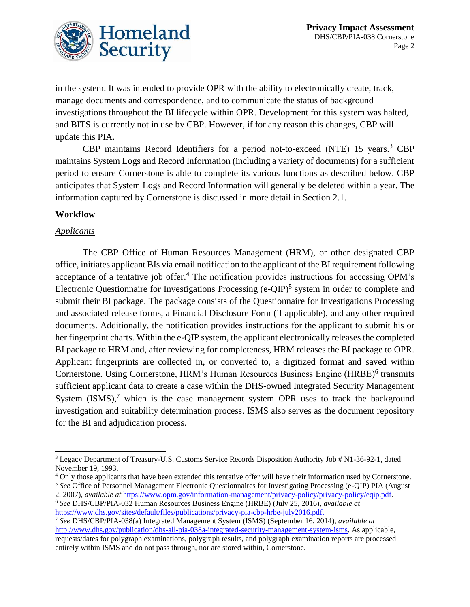

in the system. It was intended to provide OPR with the ability to electronically create, track, manage documents and correspondence, and to communicate the status of background investigations throughout the BI lifecycle within OPR. Development for this system was halted, and BITS is currently not in use by CBP. However, if for any reason this changes, CBP will update this PIA.

CBP maintains Record Identifiers for a period not-to-exceed (NTE) 15 years. <sup>3</sup> CBP maintains System Logs and Record Information (including a variety of documents) for a sufficient period to ensure Cornerstone is able to complete its various functions as described below. CBP anticipates that System Logs and Record Information will generally be deleted within a year. The information captured by Cornerstone is discussed in more detail in Section 2.1.

#### **Workflow**

#### *Applicants*

The CBP Office of Human Resources Management (HRM), or other designated CBP office, initiates applicant BIs via email notification to the applicant of the BI requirement following acceptance of a tentative job offer.<sup>4</sup> The notification provides instructions for accessing OPM's Electronic Questionnaire for Investigations Processing (e-QIP)<sup>5</sup> system in order to complete and submit their BI package. The package consists of the Questionnaire for Investigations Processing and associated release forms, a Financial Disclosure Form (if applicable), and any other required documents. Additionally, the notification provides instructions for the applicant to submit his or her fingerprint charts. Within the e-QIP system, the applicant electronically releases the completed BI package to HRM and, after reviewing for completeness, HRM releases the BI package to OPR. Applicant fingerprints are collected in, or converted to, a digitized format and saved within Cornerstone. Using Cornerstone, HRM's Human Resources Business Engine (HRBE)<sup>6</sup> transmits sufficient applicant data to create a case within the DHS-owned Integrated Security Management System  $(ISMS)$ , which is the case management system OPR uses to track the background investigation and suitability determination process. ISMS also serves as the document repository for the BI and adjudication process.

<sup>4</sup> Only those applicants that have been extended this tentative offer will have their information used by Cornerstone. <sup>5</sup> *See* Office of Personnel Management Electronic Questionnaires for Investigating Processing (e-QIP) PIA (August

2, 2007), *available at* <https://www.opm.gov/information-management/privacy-policy/privacy-policy/eqip.pdf>*.* <sup>6</sup> *See* DHS/CBP/PIA-032 Human Resources Business Engine (HRBE) (July 25, 2016), *available at* [https://www.dhs.gov/sites/default/files/publications/privacy-pia-cbp-hrbe-july2016.pdf.](https://www.dhs.gov/sites/default/files/publications/privacy-pia-cbp-hrbe-july2016.pdf)

 $\overline{a}$ <sup>3</sup> Legacy Department of Treasury-U.S. Customs Service Records Disposition Authority Job # N1-36-92-1, dated November 19, 1993.

<sup>7</sup> *See* DHS/CBP/PIA-038(a) Integrated Management System (ISMS) (September 16, 2014), *available at*  [http://www.dhs.gov/publication/dhs-all-pia-038a-integrated-security-management-system-isms.](http://www.dhs.gov/publication/dhs-all-pia-038a-integrated-security-management-system-isms) As applicable, requests/dates for polygraph examinations, polygraph results, and polygraph examination reports are processed entirely within ISMS and do not pass through, nor are stored within, Cornerstone.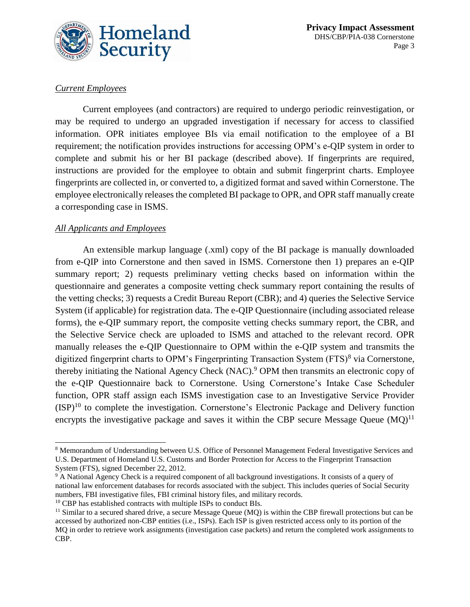

#### *Current Employees*

Current employees (and contractors) are required to undergo periodic reinvestigation, or may be required to undergo an upgraded investigation if necessary for access to classified information. OPR initiates employee BIs via email notification to the employee of a BI requirement; the notification provides instructions for accessing OPM's e-QIP system in order to complete and submit his or her BI package (described above). If fingerprints are required, instructions are provided for the employee to obtain and submit fingerprint charts. Employee fingerprints are collected in, or converted to, a digitized format and saved within Cornerstone. The employee electronically releases the completed BI package to OPR, and OPR staff manually create a corresponding case in ISMS.

#### *All Applicants and Employees*

 $\overline{a}$ 

An extensible markup language (.xml) copy of the BI package is manually downloaded from e-QIP into Cornerstone and then saved in ISMS. Cornerstone then 1) prepares an e-QIP summary report; 2) requests preliminary vetting checks based on information within the questionnaire and generates a composite vetting check summary report containing the results of the vetting checks; 3) requests a Credit Bureau Report (CBR); and 4) queries the Selective Service System (if applicable) for registration data. The e-QIP Questionnaire (including associated release forms), the e-QIP summary report, the composite vetting checks summary report, the CBR, and the Selective Service check are uploaded to ISMS and attached to the relevant record. OPR manually releases the e-QIP Questionnaire to OPM within the e-QIP system and transmits the digitized fingerprint charts to OPM's Fingerprinting Transaction System (FTS)<sup>8</sup> via Cornerstone, thereby initiating the National Agency Check (NAC).<sup>9</sup> OPM then transmits an electronic copy of the e-QIP Questionnaire back to Cornerstone. Using Cornerstone's Intake Case Scheduler function, OPR staff assign each ISMS investigation case to an Investigative Service Provider  $(ISP)^{10}$  to complete the investigation. Cornerstone's Electronic Package and Delivery function encrypts the investigative package and saves it within the CBP secure Message Queue  $(MQ)^{11}$ 

<sup>8</sup> Memorandum of Understanding between U.S. Office of Personnel Management Federal Investigative Services and U.S. Department of Homeland U.S. Customs and Border Protection for Access to the Fingerprint Transaction System (FTS), signed December 22, 2012.

<sup>&</sup>lt;sup>9</sup> A National Agency Check is a required component of all background investigations. It consists of a query of national law enforcement databases for records associated with the subject. This includes queries of Social Security numbers, FBI investigative files, FBI criminal history files, and military records.

<sup>10</sup> CBP has established contracts with multiple ISPs to conduct BIs.

<sup>&</sup>lt;sup>11</sup> Similar to a secured shared drive, a secure Message Queue (MQ) is within the CBP firewall protections but can be accessed by authorized non-CBP entities (i.e., ISPs). Each ISP is given restricted access only to its portion of the MQ in order to retrieve work assignments (investigation case packets) and return the completed work assignments to CBP.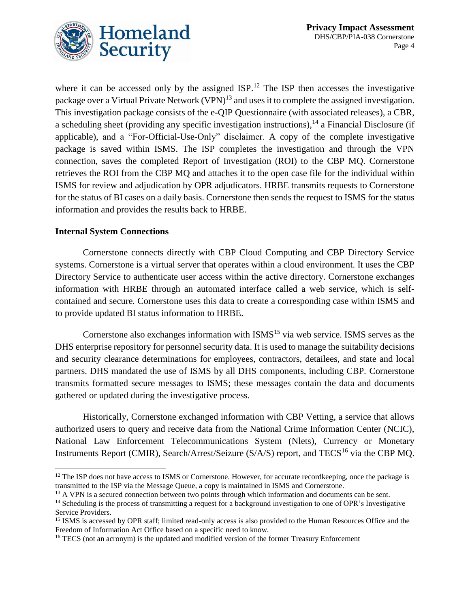

where it can be accessed only by the assigned  $ISP$ .<sup>12</sup> The ISP then accesses the investigative package over a Virtual Private Network (VPN)<sup>13</sup> and uses it to complete the assigned investigation. This investigation package consists of the e-QIP Questionnaire (with associated releases), a CBR, a scheduling sheet (providing any specific investigation instructions),<sup>14</sup> a Financial Disclosure (if applicable), and a "For-Official-Use-Only" disclaimer. A copy of the complete investigative package is saved within ISMS. The ISP completes the investigation and through the VPN connection, saves the completed Report of Investigation (ROI) to the CBP MQ. Cornerstone retrieves the ROI from the CBP MQ and attaches it to the open case file for the individual within ISMS for review and adjudication by OPR adjudicators. HRBE transmits requests to Cornerstone for the status of BI cases on a daily basis. Cornerstone then sends the request to ISMS for the status information and provides the results back to HRBE.

#### **Internal System Connections**

l

Cornerstone connects directly with CBP Cloud Computing and CBP Directory Service systems. Cornerstone is a virtual server that operates within a cloud environment. It uses the CBP Directory Service to authenticate user access within the active directory. Cornerstone exchanges information with HRBE through an automated interface called a web service, which is selfcontained and secure*.* Cornerstone uses this data to create a corresponding case within ISMS and to provide updated BI status information to HRBE.

Cornerstone also exchanges information with  $ISMS<sup>15</sup>$  via web service. ISMS serves as the DHS enterprise repository for personnel security data. It is used to manage the suitability decisions and security clearance determinations for employees, contractors, detailees, and state and local partners. DHS mandated the use of ISMS by all DHS components, including CBP. Cornerstone transmits formatted secure messages to ISMS; these messages contain the data and documents gathered or updated during the investigative process.

Historically, Cornerstone exchanged information with CBP Vetting, a service that allows authorized users to query and receive data from the National Crime Information Center (NCIC), National Law Enforcement Telecommunications System (Nlets), Currency or Monetary Instruments Report (CMIR), Search/Arrest/Seizure (S/A/S) report, and TECS<sup>16</sup> via the CBP MQ.

<sup>&</sup>lt;sup>12</sup> The ISP does not have access to ISMS or Cornerstone. However, for accurate recordkeeping, once the package is transmitted to the ISP via the Message Queue, a copy is maintained in ISMS and Cornerstone.

<sup>&</sup>lt;sup>13</sup> A VPN is a secured connection between two points through which information and documents can be sent.

<sup>&</sup>lt;sup>14</sup> Scheduling is the process of transmitting a request for a background investigation to one of OPR's Investigative Service Providers.

<sup>&</sup>lt;sup>15</sup> ISMS is accessed by OPR staff; limited read-only access is also provided to the Human Resources Office and the Freedom of Information Act Office based on a specific need to know.

<sup>&</sup>lt;sup>16</sup> TECS (not an acronym) is the updated and modified version of the former Treasury Enforcement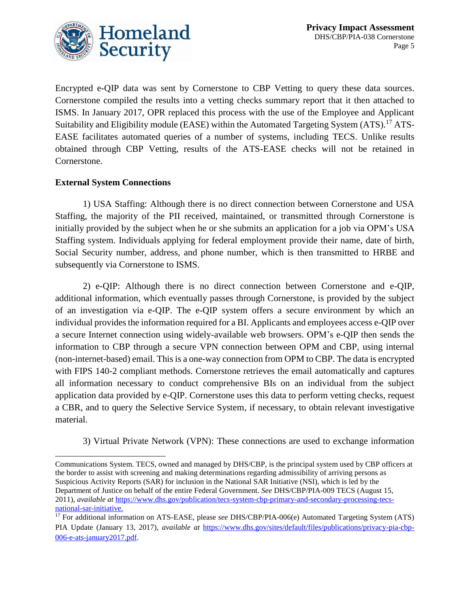

Encrypted e-QIP data was sent by Cornerstone to CBP Vetting to query these data sources. Cornerstone compiled the results into a vetting checks summary report that it then attached to ISMS. In January 2017, OPR replaced this process with the use of the Employee and Applicant Suitability and Eligibility module (EASE) within the Automated Targeting System (ATS).<sup>17</sup> ATS-EASE facilitates automated queries of a number of systems, including TECS. Unlike results obtained through CBP Vetting, results of the ATS-EASE checks will not be retained in Cornerstone.

#### **External System Connections**

 $\overline{a}$ 

1) USA Staffing: Although there is no direct connection between Cornerstone and USA Staffing, the majority of the PII received, maintained, or transmitted through Cornerstone is initially provided by the subject when he or she submits an application for a job via OPM's USA Staffing system. Individuals applying for federal employment provide their name, date of birth, Social Security number, address, and phone number, which is then transmitted to HRBE and subsequently via Cornerstone to ISMS.

2) e-QIP: Although there is no direct connection between Cornerstone and e-QIP, additional information, which eventually passes through Cornerstone, is provided by the subject of an investigation via e-QIP. The e-QIP system offers a secure environment by which an individual provides the information required for a BI. Applicants and employees access e-QIP over a secure Internet connection using widely-available web browsers. OPM's e-QIP then sends the information to CBP through a secure VPN connection between OPM and CBP, using internal (non-internet-based) email. This is a one-way connection from OPM to CBP. The data is encrypted with FIPS 140-2 compliant methods. Cornerstone retrieves the email automatically and captures all information necessary to conduct comprehensive BIs on an individual from the subject application data provided by e-QIP. Cornerstone uses this data to perform vetting checks, request a CBR, and to query the Selective Service System, if necessary, to obtain relevant investigative material.

3) Virtual Private Network (VPN): These connections are used to exchange information

Communications System. TECS, owned and managed by DHS/CBP, is the principal system used by CBP officers at the border to assist with screening and making determinations regarding admissibility of arriving persons as Suspicious Activity Reports (SAR) for inclusion in the National SAR Initiative (NSI), which is led by the Department of Justice on behalf of the entire Federal Government. *See* DHS/CBP/PIA-009 TECS (August 15, 2011), *available at* [https://www.dhs.gov/publication/tecs-system-cbp-primary-and-secondary-processing-tecs](https://www.dhs.gov/publication/tecs-system-cbp-primary-and-secondary-processing-tecs-national-sar-initiative)[national-sar-initiative.](https://www.dhs.gov/publication/tecs-system-cbp-primary-and-secondary-processing-tecs-national-sar-initiative)

<sup>17</sup> For additional information on ATS-EASE, please *see* DHS/CBP/PIA-006(e) Automated Targeting System (ATS) PIA Update (January 13, 2017), *available at* [https://www.dhs.gov/sites/default/files/publications/privacy-pia-cbp-](https://www.dhs.gov/sites/default/files/publications/privacy-pia-cbp-006-e-ats-january2017.pdf)[006-e-ats-january2017.pdf.](https://www.dhs.gov/sites/default/files/publications/privacy-pia-cbp-006-e-ats-january2017.pdf)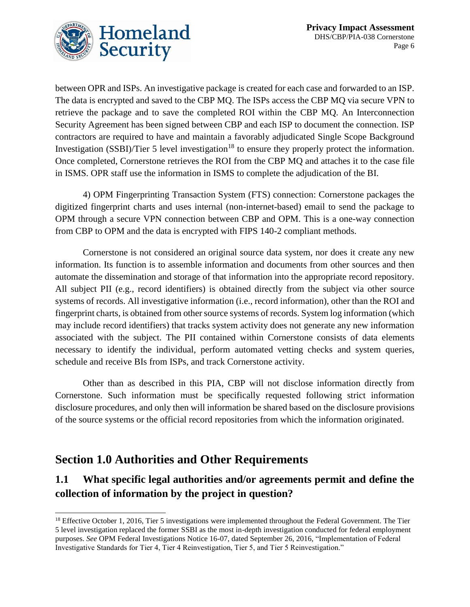

between OPR and ISPs. An investigative package is created for each case and forwarded to an ISP. The data is encrypted and saved to the CBP MQ. The ISPs access the CBP MQ via secure VPN to retrieve the package and to save the completed ROI within the CBP MQ. An Interconnection Security Agreement has been signed between CBP and each ISP to document the connection. ISP contractors are required to have and maintain a favorably adjudicated Single Scope Background Investigation (SSBI)/Tier 5 level investigation<sup>18</sup> to ensure they properly protect the information. Once completed, Cornerstone retrieves the ROI from the CBP MQ and attaches it to the case file in ISMS. OPR staff use the information in ISMS to complete the adjudication of the BI.

4) OPM Fingerprinting Transaction System (FTS) connection: Cornerstone packages the digitized fingerprint charts and uses internal (non-internet-based) email to send the package to OPM through a secure VPN connection between CBP and OPM. This is a one-way connection from CBP to OPM and the data is encrypted with FIPS 140-2 compliant methods.

Cornerstone is not considered an original source data system, nor does it create any new information. Its function is to assemble information and documents from other sources and then automate the dissemination and storage of that information into the appropriate record repository. All subject PII (e.g., record identifiers) is obtained directly from the subject via other source systems of records. All investigative information (i.e., record information), other than the ROI and fingerprint charts, is obtained from other source systems of records. System log information (which may include record identifiers) that tracks system activity does not generate any new information associated with the subject. The PII contained within Cornerstone consists of data elements necessary to identify the individual, perform automated vetting checks and system queries, schedule and receive BIs from ISPs, and track Cornerstone activity.

Other than as described in this PIA, CBP will not disclose information directly from Cornerstone. Such information must be specifically requested following strict information disclosure procedures, and only then will information be shared based on the disclosure provisions of the source systems or the official record repositories from which the information originated.

# **Section 1.0 Authorities and Other Requirements**

 $\overline{a}$ 

### **1.1 What specific legal authorities and/or agreements permit and define the collection of information by the project in question?**

<sup>&</sup>lt;sup>18</sup> Effective October 1, 2016, Tier 5 investigations were implemented throughout the Federal Government. The Tier 5 level investigation replaced the former SSBI as the most in-depth investigation conducted for federal employment purposes. *See* OPM Federal Investigations Notice 16-07, dated September 26, 2016, "Implementation of Federal Investigative Standards for Tier 4, Tier 4 Reinvestigation, Tier 5, and Tier 5 Reinvestigation."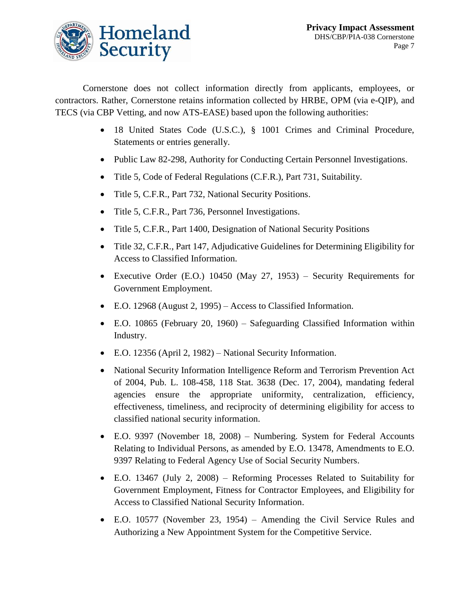

Cornerstone does not collect information directly from applicants, employees, or contractors. Rather, Cornerstone retains information collected by HRBE, OPM (via e-QIP), and TECS (via CBP Vetting, and now ATS-EASE) based upon the following authorities:

- 18 United States Code (U.S.C.), § 1001 Crimes and Criminal Procedure, Statements or entries generally.
- Public Law 82-298, Authority for Conducting Certain Personnel Investigations.
- Title 5, Code of Federal Regulations (C.F.R.), Part 731, Suitability.
- Title 5, C.F.R., Part 732, National Security Positions.
- Title 5, C.F.R., Part 736, Personnel Investigations.
- Title 5, C.F.R., Part 1400, Designation of National Security Positions
- Title 32, C.F.R., Part 147, Adjudicative Guidelines for Determining Eligibility for Access to Classified Information.
- Executive Order (E.O.) 10450 (May 27, 1953) Security Requirements for Government Employment.
- E.O. 12968 (August 2, 1995) Access to Classified Information.
- E.O. 10865 (February 20, 1960) Safeguarding Classified Information within Industry.
- E.O. 12356 (April 2, 1982) National Security Information.
- National Security Information Intelligence Reform and Terrorism Prevention Act of 2004, Pub. L. 108-458, 118 Stat. 3638 (Dec. 17, 2004), mandating federal agencies ensure the appropriate uniformity, centralization, efficiency, effectiveness, timeliness, and reciprocity of determining eligibility for access to classified national security information.
- E.O. 9397 (November 18, 2008) Numbering. System for Federal Accounts Relating to Individual Persons, as amended by E.O. 13478, Amendments to E.O. 9397 Relating to Federal Agency Use of Social Security Numbers.
- E.O. 13467 (July 2, 2008) Reforming Processes Related to Suitability for Government Employment, Fitness for Contractor Employees, and Eligibility for Access to Classified National Security Information.
- E.O. 10577 (November 23, 1954) Amending the Civil Service Rules and Authorizing a New Appointment System for the Competitive Service.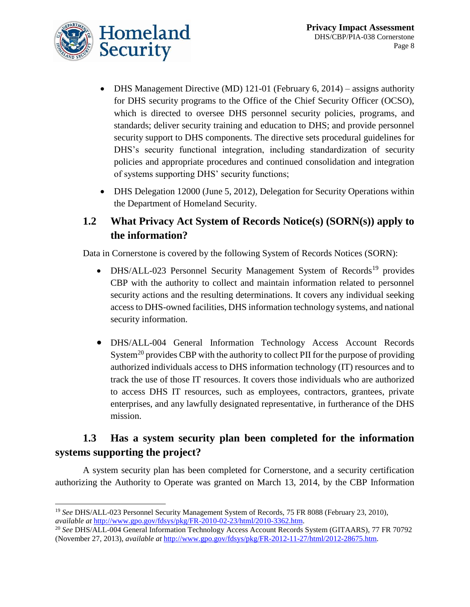

- DHS Management Directive (MD) 121-01 (February 6, 2014) assigns authority for DHS security programs to the Office of the Chief Security Officer (OCSO), which is directed to oversee DHS personnel security policies, programs, and standards; deliver security training and education to DHS; and provide personnel security support to DHS components. The directive sets procedural guidelines for DHS's security functional integration, including standardization of security policies and appropriate procedures and continued consolidation and integration of systems supporting DHS' security functions;
- DHS Delegation 12000 (June 5, 2012), Delegation for Security Operations within the Department of Homeland Security.

#### **1.2 What Privacy Act System of Records Notice(s) (SORN(s)) apply to the information?**

Data in Cornerstone is covered by the following System of Records Notices (SORN):

- $\bullet$  DHS/ALL-023 Personnel Security Management System of Records<sup>19</sup> provides CBP with the authority to collect and maintain information related to personnel security actions and the resulting determinations. It covers any individual seeking access to DHS-owned facilities, DHS information technology systems, and national security information.
- DHS/ALL-004 General Information Technology Access Account Records System<sup>20</sup> provides CBP with the authority to collect PII for the purpose of providing authorized individuals access to DHS information technology (IT) resources and to track the use of those IT resources. It covers those individuals who are authorized to access DHS IT resources, such as employees, contractors, grantees, private enterprises, and any lawfully designated representative, in furtherance of the DHS mission.

### **1.3 Has a system security plan been completed for the information systems supporting the project?**

A system security plan has been completed for Cornerstone, and a security certification authorizing the Authority to Operate was granted on March 13, 2014, by the CBP Information

 $\overline{a}$ <sup>19</sup> *See* DHS/ALL-023 Personnel Security Management System of Records, 75 FR 8088 (February 23, 2010), *available at* [http://www.gpo.gov/fdsys/pkg/FR-2010-02-23/html/2010-3362.htm.](http://www.gpo.gov/fdsys/pkg/FR-2010-02-23/html/2010-3362.htm)

<sup>20</sup> *See* DHS/ALL-004 General Information Technology Access Account Records System (GITAARS), 77 FR 70792 (November 27, 2013), *available at* [http://www.gpo.gov/fdsys/pkg/FR-2012-11-27/html/2012-28675.htm.](http://www.gpo.gov/fdsys/pkg/FR-2012-11-27/html/2012-28675.htm)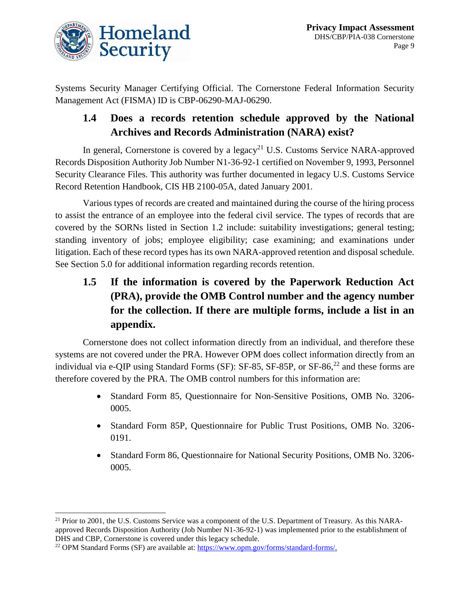

Systems Security Manager Certifying Official. The Cornerstone Federal Information Security Management Act (FISMA) ID is CBP-06290-MAJ-06290.

#### **1.4 Does a records retention schedule approved by the National Archives and Records Administration (NARA) exist?**

In general, Cornerstone is covered by a legacy<sup>21</sup> U.S. Customs Service NARA-approved Records Disposition Authority Job Number N1-36-92-1 certified on November 9, 1993, Personnel Security Clearance Files. This authority was further documented in legacy U.S. Customs Service Record Retention Handbook, CIS HB 2100-05A, dated January 2001.

Various types of records are created and maintained during the course of the hiring process to assist the entrance of an employee into the federal civil service. The types of records that are covered by the SORNs listed in Section 1.2 include: suitability investigations; general testing; standing inventory of jobs; employee eligibility; case examining; and examinations under litigation. Each of these record types has its own NARA-approved retention and disposal schedule. See Section 5.0 for additional information regarding records retention.

**1.5 If the information is covered by the Paperwork Reduction Act (PRA), provide the OMB Control number and the agency number for the collection. If there are multiple forms, include a list in an appendix.** 

Cornerstone does not collect information directly from an individual, and therefore these systems are not covered under the PRA. However OPM does collect information directly from an individual via e-QIP using Standard Forms (SF): SF-85, SF-85P, or SF-86,<sup>22</sup> and these forms are therefore covered by the PRA. The OMB control numbers for this information are:

- Standard Form 85, Questionnaire for Non-Sensitive Positions, OMB No. 3206- 0005.
- Standard Form 85P, Questionnaire for Public Trust Positions, OMB No. 3206- 0191.
- Standard Form 86, Questionnaire for National Security Positions, OMB No. 3206- 0005.

 $\overline{a}$ 

<sup>&</sup>lt;sup>21</sup> Prior to 2001, the U.S. Customs Service was a component of the U.S. Department of Treasury. As this NARAapproved Records Disposition Authority (Job Number N1-36-92-1) was implemented prior to the establishment of DHS and CBP, Cornerstone is covered under this legacy schedule.

<sup>&</sup>lt;sup>22</sup> OPM Standard Forms (SF) are available at: [https://www.opm.gov/forms/standard-forms/.](https://www.opm.gov/forms/standard-forms/)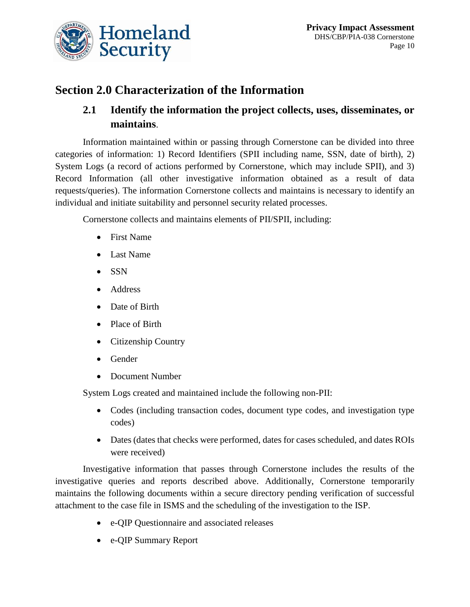

# **Section 2.0 Characterization of the Information**

#### **2.1 Identify the information the project collects, uses, disseminates, or maintains**.

Information maintained within or passing through Cornerstone can be divided into three categories of information: 1) Record Identifiers (SPII including name, SSN, date of birth), 2) System Logs (a record of actions performed by Cornerstone, which may include SPII), and 3) Record Information (all other investigative information obtained as a result of data requests/queries). The information Cornerstone collects and maintains is necessary to identify an individual and initiate suitability and personnel security related processes.

Cornerstone collects and maintains elements of PII/SPII, including:

- First Name
- Last Name
- $\bullet$  SSN
- Address
- Date of Birth
- Place of Birth
- Citizenship Country
- Gender
- Document Number

System Logs created and maintained include the following non-PII:

- Codes (including transaction codes, document type codes, and investigation type codes)
- Dates (dates that checks were performed, dates for cases scheduled, and dates ROIs were received)

Investigative information that passes through Cornerstone includes the results of the investigative queries and reports described above. Additionally, Cornerstone temporarily maintains the following documents within a secure directory pending verification of successful attachment to the case file in ISMS and the scheduling of the investigation to the ISP.

- e-QIP Questionnaire and associated releases
- e-QIP Summary Report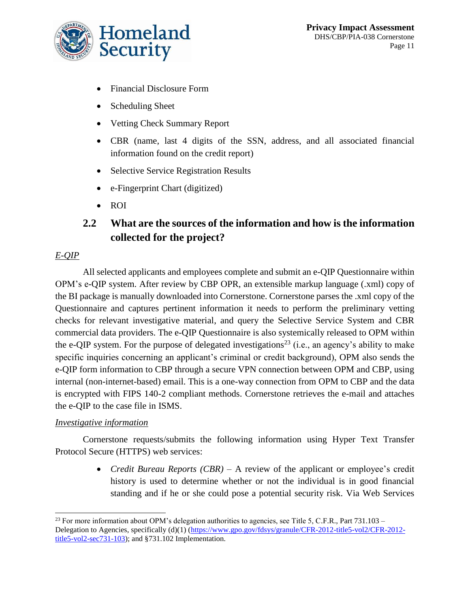

- Financial Disclosure Form
- Scheduling Sheet
- Vetting Check Summary Report
- CBR (name, last 4 digits of the SSN, address, and all associated financial information found on the credit report)
- Selective Service Registration Results
- e-Fingerprint Chart (digitized)
- ROI

### **2.2 What are the sources of the information and how is the information collected for the project?**

#### *E-QIP*

 $\overline{a}$ 

All selected applicants and employees complete and submit an e-QIP Questionnaire within OPM's e-QIP system. After review by CBP OPR, an extensible markup language (.xml) copy of the BI package is manually downloaded into Cornerstone. Cornerstone parses the .xml copy of the Questionnaire and captures pertinent information it needs to perform the preliminary vetting checks for relevant investigative material, and query the Selective Service System and CBR commercial data providers. The e-QIP Questionnaire is also systemically released to OPM within the e-QIP system. For the purpose of delegated investigations<sup>23</sup> (i.e., an agency's ability to make specific inquiries concerning an applicant's criminal or credit background), OPM also sends the e-QIP form information to CBP through a secure VPN connection between OPM and CBP, using internal (non-internet-based) email. This is a one-way connection from OPM to CBP and the data is encrypted with FIPS 140-2 compliant methods. Cornerstone retrieves the e-mail and attaches the e-QIP to the case file in ISMS.

#### *Investigative information*

Cornerstone requests/submits the following information using Hyper Text Transfer Protocol Secure (HTTPS) web services:

> *Credit Bureau Reports (CBR)* – A review of the applicant or employee's credit history is used to determine whether or not the individual is in good financial standing and if he or she could pose a potential security risk. Via Web Services

<sup>&</sup>lt;sup>23</sup> For more information about OPM's delegation authorities to agencies, see Title 5, C.F.R., Part 731.103 – Delegation to Agencies, specifically (d)(1) [\(https://www.gpo.gov/fdsys/granule/CFR-2012-title5-vol2/CFR-2012](https://www.gpo.gov/fdsys/granule/CFR-2012-title5-vol2/CFR-2012-title5-vol2-sec731-103) [title5-vol2-sec731-103\)](https://www.gpo.gov/fdsys/granule/CFR-2012-title5-vol2/CFR-2012-title5-vol2-sec731-103); and §731.102 Implementation.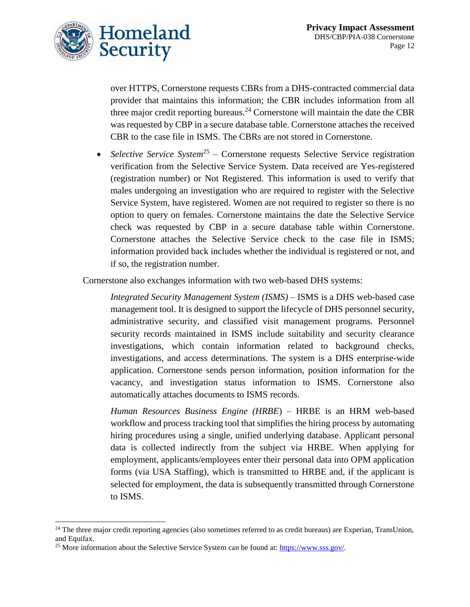

over HTTPS, Cornerstone requests CBRs from a DHS-contracted commercial data provider that maintains this information; the CBR includes information from all three major credit reporting bureaus.<sup>24</sup> Cornerstone will maintain the date the CBR was requested by CBP in a secure database table. Cornerstone attaches the received CBR to the case file in ISMS. The CBRs are not stored in Cornerstone.

• Selective Service System<sup>25</sup> – Cornerstone requests Selective Service registration verification from the Selective Service System. Data received are Yes-registered (registration number) or Not Registered. This information is used to verify that males undergoing an investigation who are required to register with the Selective Service System, have registered. Women are not required to register so there is no option to query on females. Cornerstone maintains the date the Selective Service check was requested by CBP in a secure database table within Cornerstone. Cornerstone attaches the Selective Service check to the case file in ISMS; information provided back includes whether the individual is registered or not, and if so, the registration number.

Cornerstone also exchanges information with two web-based DHS systems:

*Integrated Security Management System (ISMS) –* ISMS is a DHS web-based case management tool. It is designed to support the lifecycle of DHS personnel security, administrative security, and classified visit management programs. Personnel security records maintained in ISMS include suitability and security clearance investigations, which contain information related to background checks, investigations, and access determinations. The system is a DHS enterprise-wide application. Cornerstone sends person information, position information for the vacancy, and investigation status information to ISMS. Cornerstone also automatically attaches documents to ISMS records.

*Human Resources Business Engine (HRBE*) – HRBE is an HRM web-based workflow and process tracking tool that simplifies the hiring process by automating hiring procedures using a single, unified underlying database. Applicant personal data is collected indirectly from the subject via HRBE. When applying for employment, applicants/employees enter their personal data into OPM application forms (via USA Staffing), which is transmitted to HRBE and, if the applicant is selected for employment, the data is subsequently transmitted through Cornerstone to ISMS.

l

 $24$  The three major credit reporting agencies (also sometimes referred to as credit bureaus) are Experian, TransUnion, and Equifax.

<sup>&</sup>lt;sup>25</sup> More information about the Selective Service System can be found at: [https://www.sss.gov/.](https://www.sss.gov/)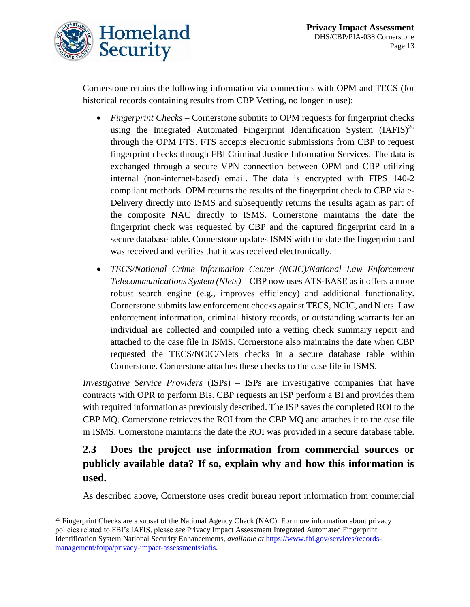

 $\overline{a}$ 

Cornerstone retains the following information via connections with OPM and TECS (for historical records containing results from CBP Vetting, no longer in use):

- *Fingerprint Checks –* Cornerstone submits to OPM requests for fingerprint checks using the Integrated Automated Fingerprint Identification System  $(IAFIS)^{26}$ through the OPM FTS. FTS accepts electronic submissions from CBP to request fingerprint checks through FBI Criminal Justice Information Services. The data is exchanged through a secure VPN connection between OPM and CBP utilizing internal (non-internet-based) email. The data is encrypted with FIPS 140-2 compliant methods. OPM returns the results of the fingerprint check to CBP via e-Delivery directly into ISMS and subsequently returns the results again as part of the composite NAC directly to ISMS. Cornerstone maintains the date the fingerprint check was requested by CBP and the captured fingerprint card in a secure database table. Cornerstone updates ISMS with the date the fingerprint card was received and verifies that it was received electronically.
- *TECS/National Crime Information Center (NCIC)/National Law Enforcement Telecommunications System (Nlets)* – CBP now uses ATS-EASE as it offers a more robust search engine (e.g., improves efficiency) and additional functionality. Cornerstone submits law enforcement checks against TECS, NCIC, and Nlets. Law enforcement information, criminal history records, or outstanding warrants for an individual are collected and compiled into a vetting check summary report and attached to the case file in ISMS. Cornerstone also maintains the date when CBP requested the TECS/NCIC/Nlets checks in a secure database table within Cornerstone. Cornerstone attaches these checks to the case file in ISMS.

*Investigative Service Providers* (ISPs) – ISPs are investigative companies that have contracts with OPR to perform BIs. CBP requests an ISP perform a BI and provides them with required information as previously described. The ISP saves the completed ROI to the CBP MQ. Cornerstone retrieves the ROI from the CBP MQ and attaches it to the case file in ISMS. Cornerstone maintains the date the ROI was provided in a secure database table.

### **2.3 Does the project use information from commercial sources or publicly available data? If so, explain why and how this information is used.**

As described above, Cornerstone uses credit bureau report information from commercial

<sup>&</sup>lt;sup>26</sup> Fingerprint Checks are a subset of the National Agency Check (NAC). For more information about privacy policies related to FBI's IAFIS, please *see* Privacy Impact Assessment Integrated Automated Fingerprint Identification System National Security Enhancements, *available at* [https://www.fbi.gov/services/records](https://www.fbi.gov/services/records-management/foipa/privacy-impact-assessments/iafis)[management/foipa/privacy-impact-assessments/iafis.](https://www.fbi.gov/services/records-management/foipa/privacy-impact-assessments/iafis)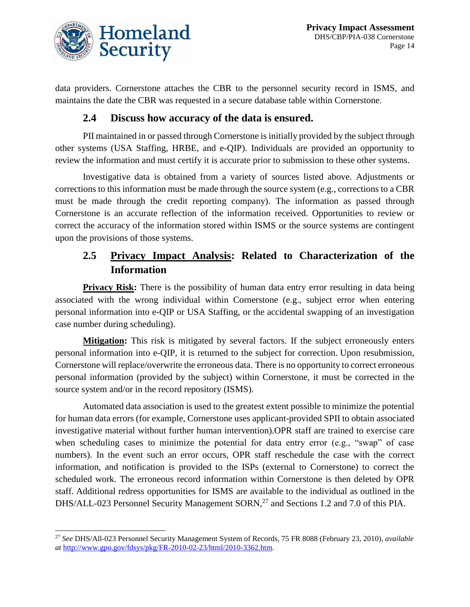

 $\overline{a}$ 

data providers. Cornerstone attaches the CBR to the personnel security record in ISMS, and maintains the date the CBR was requested in a secure database table within Cornerstone.

#### **2.4 Discuss how accuracy of the data is ensured.**

PII maintained in or passed through Cornerstone is initially provided by the subject through other systems (USA Staffing, HRBE, and e-QIP). Individuals are provided an opportunity to review the information and must certify it is accurate prior to submission to these other systems.

Investigative data is obtained from a variety of sources listed above. Adjustments or corrections to this information must be made through the source system (e.g., corrections to a CBR must be made through the credit reporting company). The information as passed through Cornerstone is an accurate reflection of the information received. Opportunities to review or correct the accuracy of the information stored within ISMS or the source systems are contingent upon the provisions of those systems.

#### **2.5 Privacy Impact Analysis: Related to Characterization of the Information**

**Privacy Risk:** There is the possibility of human data entry error resulting in data being associated with the wrong individual within Cornerstone (e.g., subject error when entering personal information into e-QIP or USA Staffing, or the accidental swapping of an investigation case number during scheduling).

**Mitigation:** This risk is mitigated by several factors. If the subject erroneously enters personal information into e-QIP, it is returned to the subject for correction. Upon resubmission, Cornerstone will replace/overwrite the erroneous data. There is no opportunity to correct erroneous personal information (provided by the subject) within Cornerstone, it must be corrected in the source system and/or in the record repository (ISMS).

Automated data association is used to the greatest extent possible to minimize the potential for human data errors (for example, Cornerstone uses applicant-provided SPII to obtain associated investigative material without further human intervention).OPR staff are trained to exercise care when scheduling cases to minimize the potential for data entry error (e.g., "swap" of case numbers). In the event such an error occurs, OPR staff reschedule the case with the correct information, and notification is provided to the ISPs (external to Cornerstone) to correct the scheduled work. The erroneous record information within Cornerstone is then deleted by OPR staff. Additional redress opportunities for ISMS are available to the individual as outlined in the DHS/ALL-023 Personnel Security Management SORN,<sup>27</sup> and Sections 1.2 and 7.0 of this PIA.

<sup>27</sup> *See* DHS/All-023 Personnel Security Management System of Records, 75 FR 8088 (February 23, 2010), *available at* [http://www.gpo.gov/fdsys/pkg/FR-2010-02-23/html/2010-3362.htm.](http://www.gpo.gov/fdsys/pkg/FR-2010-02-23/html/2010-3362.htm)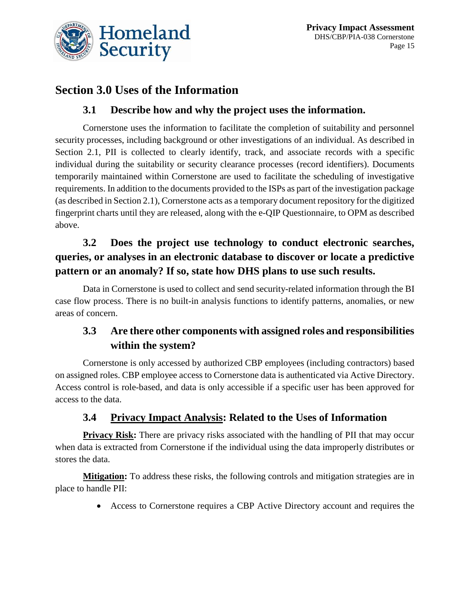

# **Section 3.0 Uses of the Information**

#### **3.1 Describe how and why the project uses the information.**

Cornerstone uses the information to facilitate the completion of suitability and personnel security processes, including background or other investigations of an individual. As described in Section 2.1, PII is collected to clearly identify, track, and associate records with a specific individual during the suitability or security clearance processes (record identifiers). Documents temporarily maintained within Cornerstone are used to facilitate the scheduling of investigative requirements. In addition to the documents provided to the ISPs as part of the investigation package (as described in Section 2.1), Cornerstone acts as a temporary document repository for the digitized fingerprint charts until they are released, along with the e-QIP Questionnaire, to OPM as described above.

### **3.2 Does the project use technology to conduct electronic searches, queries, or analyses in an electronic database to discover or locate a predictive pattern or an anomaly? If so, state how DHS plans to use such results.**

Data in Cornerstone is used to collect and send security-related information through the BI case flow process. There is no built-in analysis functions to identify patterns, anomalies, or new areas of concern.

### **3.3 Are there other components with assigned roles and responsibilities within the system?**

Cornerstone is only accessed by authorized CBP employees (including contractors) based on assigned roles. CBP employee access to Cornerstone data is authenticated via Active Directory. Access control is role-based, and data is only accessible if a specific user has been approved for access to the data.

#### **3.4 Privacy Impact Analysis: Related to the Uses of Information**

**Privacy Risk:** There are privacy risks associated with the handling of PII that may occur when data is extracted from Cornerstone if the individual using the data improperly distributes or stores the data.

**Mitigation:** To address these risks, the following controls and mitigation strategies are in place to handle PII:

Access to Cornerstone requires a CBP Active Directory account and requires the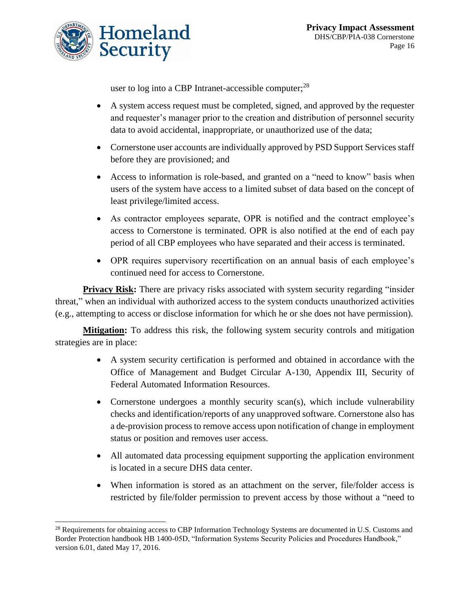

user to log into a CBP Intranet-accessible computer;<sup>28</sup>

- A system access request must be completed, signed, and approved by the requester and requester's manager prior to the creation and distribution of personnel security data to avoid accidental, inappropriate, or unauthorized use of the data;
- Cornerstone user accounts are individually approved by PSD Support Services staff before they are provisioned; and
- Access to information is role-based, and granted on a "need to know" basis when users of the system have access to a limited subset of data based on the concept of least privilege/limited access.
- As contractor employees separate, OPR is notified and the contract employee's access to Cornerstone is terminated. OPR is also notified at the end of each pay period of all CBP employees who have separated and their access is terminated.
- OPR requires supervisory recertification on an annual basis of each employee's continued need for access to Cornerstone.

**Privacy Risk:** There are privacy risks associated with system security regarding "insider" threat," when an individual with authorized access to the system conducts unauthorized activities (e.g., attempting to access or disclose information for which he or she does not have permission).

**Mitigation:** To address this risk, the following system security controls and mitigation strategies are in place:

- A system security certification is performed and obtained in accordance with the Office of Management and Budget Circular A-130, Appendix III, Security of Federal Automated Information Resources.
- Cornerstone undergoes a monthly security scan(s), which include vulnerability checks and identification/reports of any unapproved software. Cornerstone also has a de-provision process to remove access upon notification of change in employment status or position and removes user access.
- All automated data processing equipment supporting the application environment is located in a secure DHS data center.
- When information is stored as an attachment on the server, file/folder access is restricted by file/folder permission to prevent access by those without a "need to

l <sup>28</sup> Requirements for obtaining access to CBP Information Technology Systems are documented in U.S. Customs and Border Protection handbook HB 1400-05D, "Information Systems Security Policies and Procedures Handbook," version 6.01, dated May 17, 2016.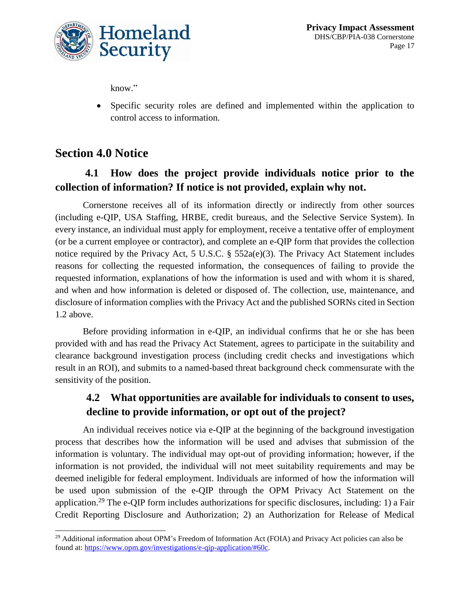

know."

 Specific security roles are defined and implemented within the application to control access to information.

### **Section 4.0 Notice**

### **4.1 How does the project provide individuals notice prior to the collection of information? If notice is not provided, explain why not.**

Cornerstone receives all of its information directly or indirectly from other sources (including e-QIP, USA Staffing, HRBE, credit bureaus, and the Selective Service System). In every instance, an individual must apply for employment, receive a tentative offer of employment (or be a current employee or contractor), and complete an e-QIP form that provides the collection notice required by the Privacy Act, 5 U.S.C. § 552a(e)(3). The Privacy Act Statement includes reasons for collecting the requested information, the consequences of failing to provide the requested information, explanations of how the information is used and with whom it is shared, and when and how information is deleted or disposed of. The collection, use, maintenance, and disclosure of information complies with the Privacy Act and the published SORNs cited in Section 1.2 above.

Before providing information in e-QIP, an individual confirms that he or she has been provided with and has read the Privacy Act Statement, agrees to participate in the suitability and clearance background investigation process (including credit checks and investigations which result in an ROI), and submits to a named-based threat background check commensurate with the sensitivity of the position.

### **4.2 What opportunities are available for individuals to consent to uses, decline to provide information, or opt out of the project?**

An individual receives notice via e-QIP at the beginning of the background investigation process that describes how the information will be used and advises that submission of the information is voluntary. The individual may opt-out of providing information; however, if the information is not provided, the individual will not meet suitability requirements and may be deemed ineligible for federal employment. Individuals are informed of how the information will be used upon submission of the e-QIP through the OPM Privacy Act Statement on the application.<sup>29</sup> The e-QIP form includes authorizations for specific disclosures, including: 1) a Fair Credit Reporting Disclosure and Authorization; 2) an Authorization for Release of Medical

 $\overline{a}$ <sup>29</sup> Additional information about OPM's Freedom of Information Act (FOIA) and Privacy Act policies can also be found at: [https://www.opm.gov/investigations/e-qip-application/#60c.](https://www.opm.gov/investigations/e-qip-application/#60c)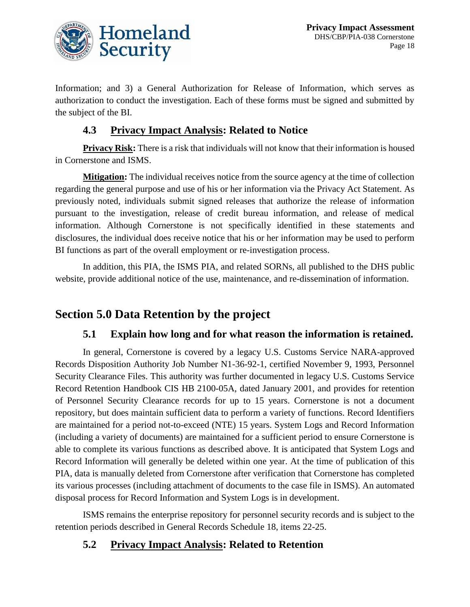

Information; and 3) a General Authorization for Release of Information, which serves as authorization to conduct the investigation. Each of these forms must be signed and submitted by the subject of the BI.

#### **4.3 Privacy Impact Analysis: Related to Notice**

**Privacy Risk:** There is a risk that individuals will not know that their information is housed in Cornerstone and ISMS.

**Mitigation:** The individual receives notice from the source agency at the time of collection regarding the general purpose and use of his or her information via the Privacy Act Statement. As previously noted, individuals submit signed releases that authorize the release of information pursuant to the investigation, release of credit bureau information, and release of medical information. Although Cornerstone is not specifically identified in these statements and disclosures, the individual does receive notice that his or her information may be used to perform BI functions as part of the overall employment or re-investigation process.

In addition, this PIA, the ISMS PIA, and related SORNs, all published to the DHS public website, provide additional notice of the use, maintenance, and re-dissemination of information.

# **Section 5.0 Data Retention by the project**

#### **5.1 Explain how long and for what reason the information is retained.**

In general, Cornerstone is covered by a legacy U.S. Customs Service NARA-approved Records Disposition Authority Job Number N1-36-92-1, certified November 9, 1993, Personnel Security Clearance Files. This authority was further documented in legacy U.S. Customs Service Record Retention Handbook CIS HB 2100-05A, dated January 2001, and provides for retention of Personnel Security Clearance records for up to 15 years. Cornerstone is not a document repository, but does maintain sufficient data to perform a variety of functions. Record Identifiers are maintained for a period not-to-exceed (NTE) 15 years. System Logs and Record Information (including a variety of documents) are maintained for a sufficient period to ensure Cornerstone is able to complete its various functions as described above. It is anticipated that System Logs and Record Information will generally be deleted within one year. At the time of publication of this PIA, data is manually deleted from Cornerstone after verification that Cornerstone has completed its various processes (including attachment of documents to the case file in ISMS). An automated disposal process for Record Information and System Logs is in development.

ISMS remains the enterprise repository for personnel security records and is subject to the retention periods described in General Records Schedule 18, items 22-25.

#### **5.2 Privacy Impact Analysis: Related to Retention**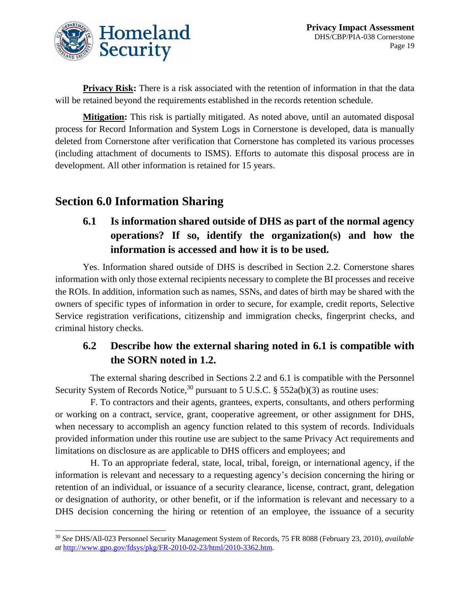

**Privacy Risk:** There is a risk associated with the retention of information in that the data will be retained beyond the requirements established in the records retention schedule.

**Mitigation:** This risk is partially mitigated. As noted above, until an automated disposal process for Record Information and System Logs in Cornerstone is developed, data is manually deleted from Cornerstone after verification that Cornerstone has completed its various processes (including attachment of documents to ISMS). Efforts to automate this disposal process are in development. All other information is retained for 15 years.

# **Section 6.0 Information Sharing**

### **6.1 Is information shared outside of DHS as part of the normal agency operations? If so, identify the organization(s) and how the information is accessed and how it is to be used.**

Yes. Information shared outside of DHS is described in Section 2.2. Cornerstone shares information with only those external recipients necessary to complete the BI processes and receive the ROIs. In addition, information such as names, SSNs, and dates of birth may be shared with the owners of specific types of information in order to secure, for example, credit reports, Selective Service registration verifications, citizenship and immigration checks, fingerprint checks, and criminal history checks.

### **6.2 Describe how the external sharing noted in 6.1 is compatible with the SORN noted in 1.2.**

The external sharing described in Sections 2.2 and 6.1 is compatible with the Personnel Security System of Records Notice,<sup>30</sup> pursuant to 5 U.S.C. § 552a(b)(3) as routine uses:

F. To contractors and their agents, grantees, experts, consultants, and others performing or working on a contract, service, grant, cooperative agreement, or other assignment for DHS, when necessary to accomplish an agency function related to this system of records. Individuals provided information under this routine use are subject to the same Privacy Act requirements and limitations on disclosure as are applicable to DHS officers and employees; and

H. To an appropriate federal, state, local, tribal, foreign, or international agency, if the information is relevant and necessary to a requesting agency's decision concerning the hiring or retention of an individual, or issuance of a security clearance, license, contract, grant, delegation or designation of authority, or other benefit, or if the information is relevant and necessary to a DHS decision concerning the hiring or retention of an employee, the issuance of a security

 $\overline{a}$ <sup>30</sup> *See* DHS/All-023 Personnel Security Management System of Records, 75 FR 8088 (February 23, 2010), *available at* [http://www.gpo.gov/fdsys/pkg/FR-2010-02-23/html/2010-3362.htm.](http://www.gpo.gov/fdsys/pkg/FR-2010-02-23/html/2010-3362.htm)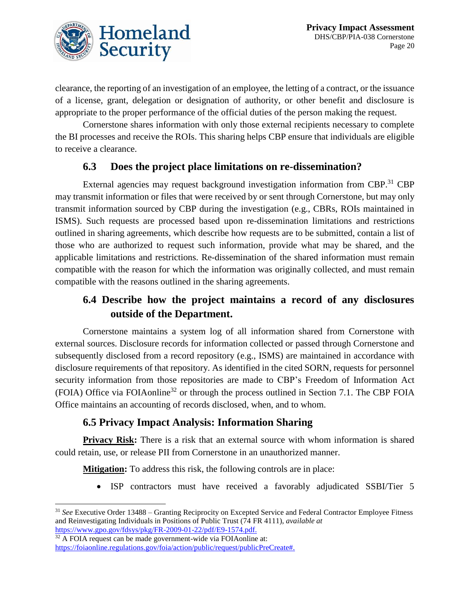

clearance, the reporting of an investigation of an employee, the letting of a contract, or the issuance of a license, grant, delegation or designation of authority, or other benefit and disclosure is appropriate to the proper performance of the official duties of the person making the request.

Cornerstone shares information with only those external recipients necessary to complete the BI processes and receive the ROIs. This sharing helps CBP ensure that individuals are eligible to receive a clearance.

#### **6.3 Does the project place limitations on re-dissemination?**

External agencies may request background investigation information from CBP.<sup>31</sup> CBP may transmit information or files that were received by or sent through Cornerstone, but may only transmit information sourced by CBP during the investigation (e.g., CBRs, ROIs maintained in ISMS). Such requests are processed based upon re-dissemination limitations and restrictions outlined in sharing agreements, which describe how requests are to be submitted, contain a list of those who are authorized to request such information, provide what may be shared, and the applicable limitations and restrictions. Re-dissemination of the shared information must remain compatible with the reason for which the information was originally collected, and must remain compatible with the reasons outlined in the sharing agreements.

#### **6.4 Describe how the project maintains a record of any disclosures outside of the Department.**

Cornerstone maintains a system log of all information shared from Cornerstone with external sources. Disclosure records for information collected or passed through Cornerstone and subsequently disclosed from a record repository (e.g., ISMS) are maintained in accordance with disclosure requirements of that repository. As identified in the cited SORN, requests for personnel security information from those repositories are made to CBP's Freedom of Information Act (FOIA) Office via FOIAonline<sup>32</sup> or through the process outlined in Section 7.1. The CBP FOIA Office maintains an accounting of records disclosed, when, and to whom.

#### **6.5 Privacy Impact Analysis: Information Sharing**

**Privacy Risk:** There is a risk that an external source with whom information is shared could retain, use, or release PII from Cornerstone in an unauthorized manner.

**Mitigation:** To address this risk, the following controls are in place:

ISP contractors must have received a favorably adjudicated SSBI/Tier 5

<sup>32</sup> A FOIA request can be made government-wide via FOIAonline at:

 $\overline{a}$ 

<sup>31</sup> *See* Executive Order 13488 – Granting Reciprocity on Excepted Service and Federal Contractor Employee Fitness and Reinvestigating Individuals in Positions of Public Trust (74 FR 4111), *available at*  [https://www.gpo.gov/fdsys/pkg/FR-2009-01-22/pdf/E9-1574.pdf.](https://www.gpo.gov/fdsys/pkg/FR-2009-01-22/pdf/E9-1574.pdf)

[https://foiaonline.regulations.gov/foia/action/public/request/publicPreCreate#.](https://foiaonline.regulations.gov/foia/action/public/request/publicPreCreate%23)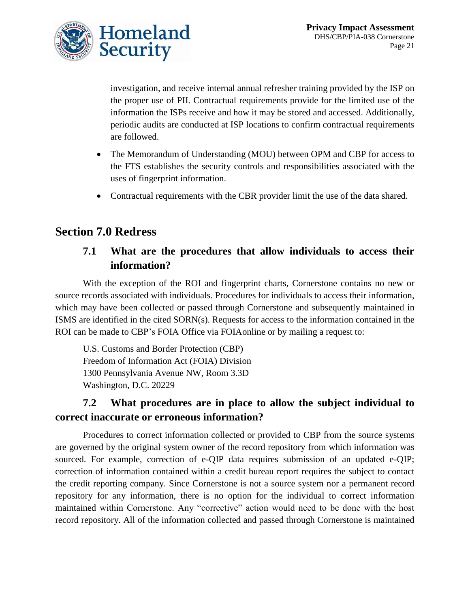

investigation, and receive internal annual refresher training provided by the ISP on the proper use of PII. Contractual requirements provide for the limited use of the information the ISPs receive and how it may be stored and accessed. Additionally, periodic audits are conducted at ISP locations to confirm contractual requirements are followed.

- The Memorandum of Understanding (MOU) between OPM and CBP for access to the FTS establishes the security controls and responsibilities associated with the uses of fingerprint information.
- Contractual requirements with the CBR provider limit the use of the data shared.

# **Section 7.0 Redress**

#### **7.1 What are the procedures that allow individuals to access their information?**

With the exception of the ROI and fingerprint charts, Cornerstone contains no new or source records associated with individuals. Procedures for individuals to access their information, which may have been collected or passed through Cornerstone and subsequently maintained in ISMS are identified in the cited SORN(s). Requests for access to the information contained in the ROI can be made to CBP's FOIA Office via FOIAonline or by mailing a request to:

U.S. Customs and Border Protection (CBP) Freedom of Information Act (FOIA) Division 1300 Pennsylvania Avenue NW, Room 3.3D Washington, D.C. 20229

#### **7.2 What procedures are in place to allow the subject individual to correct inaccurate or erroneous information?**

Procedures to correct information collected or provided to CBP from the source systems are governed by the original system owner of the record repository from which information was sourced. For example, correction of e-QIP data requires submission of an updated e-QIP; correction of information contained within a credit bureau report requires the subject to contact the credit reporting company. Since Cornerstone is not a source system nor a permanent record repository for any information, there is no option for the individual to correct information maintained within Cornerstone. Any "corrective" action would need to be done with the host record repository. All of the information collected and passed through Cornerstone is maintained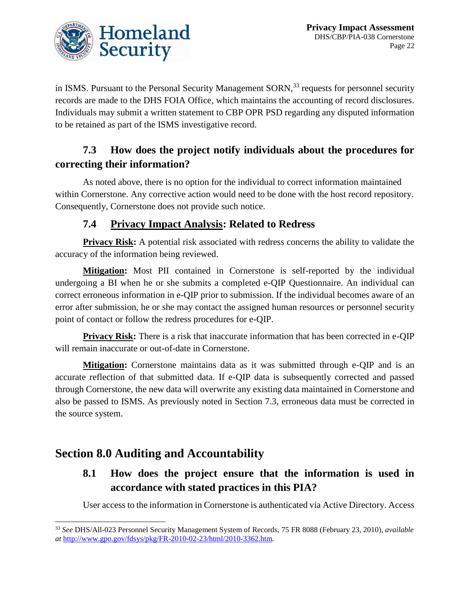

in ISMS. Pursuant to the Personal Security Management SORN,<sup>33</sup> requests for personnel security records are made to the DHS FOIA Office, which maintains the accounting of record disclosures. Individuals may submit a written statement to CBP OPR PSD regarding any disputed information to be retained as part of the ISMS investigative record.

#### **7.3 How does the project notify individuals about the procedures for correcting their information?**

As noted above, there is no option for the individual to correct information maintained within Cornerstone. Any corrective action would need to be done with the host record repository. Consequently, Cornerstone does not provide such notice.

#### **7.4 Privacy Impact Analysis: Related to Redress**

**Privacy Risk:** A potential risk associated with redress concerns the ability to validate the accuracy of the information being reviewed.

**Mitigation:** Most PII contained in Cornerstone is self-reported by the individual undergoing a BI when he or she submits a completed e-QIP Questionnaire. An individual can correct erroneous information in e-QIP prior to submission. If the individual becomes aware of an error after submission, he or she may contact the assigned human resources or personnel security point of contact or follow the redress procedures for e-QIP.

**Privacy Risk:** There is a risk that inaccurate information that has been corrected in e-QIP will remain inaccurate or out-of-date in Cornerstone.

**Mitigation:** Cornerstone maintains data as it was submitted through e-QIP and is an accurate reflection of that submitted data. If e-QIP data is subsequently corrected and passed through Cornerstone, the new data will overwrite any existing data maintained in Cornerstone and also be passed to ISMS. As previously noted in Section 7.3, erroneous data must be corrected in the source system.

### **Section 8.0 Auditing and Accountability**

### **8.1 How does the project ensure that the information is used in accordance with stated practices in this PIA?**

User access to the information in Cornerstone is authenticated via Active Directory. Access

l <sup>33</sup> *See* DHS/All-023 Personnel Security Management System of Records, 75 FR 8088 (February 23, 2010), *available at* [http://www.gpo.gov/fdsys/pkg/FR-2010-02-23/html/2010-3362.htm.](http://www.gpo.gov/fdsys/pkg/FR-2010-02-23/html/2010-3362.htm)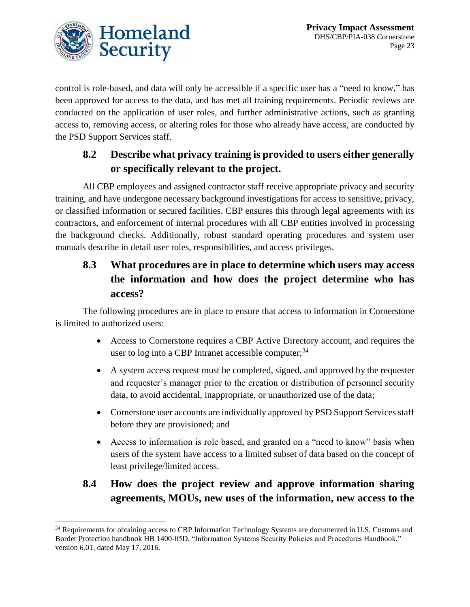

control is role-based, and data will only be accessible if a specific user has a "need to know," has been approved for access to the data, and has met all training requirements. Periodic reviews are conducted on the application of user roles, and further administrative actions, such as granting access to, removing access, or altering roles for those who already have access, are conducted by the PSD Support Services staff.

### **8.2 Describe what privacy training is provided to users either generally or specifically relevant to the project.**

All CBP employees and assigned contractor staff receive appropriate privacy and security training, and have undergone necessary background investigations for access to sensitive, privacy, or classified information or secured facilities. CBP ensures this through legal agreements with its contractors, and enforcement of internal procedures with all CBP entities involved in processing the background checks. Additionally, robust standard operating procedures and system user manuals describe in detail user roles, responsibilities, and access privileges.

# **8.3 What procedures are in place to determine which users may access the information and how does the project determine who has access?**

The following procedures are in place to ensure that access to information in Cornerstone is limited to authorized users:

- Access to Cornerstone requires a CBP Active Directory account, and requires the user to  $log$  into a CBP Intranet accessible computer;  $34$
- A system access request must be completed, signed, and approved by the requester and requester's manager prior to the creation or distribution of personnel security data, to avoid accidental, inappropriate, or unauthorized use of the data;
- Cornerstone user accounts are individually approved by PSD Support Services staff before they are provisioned; and
- Access to information is role based, and granted on a "need to know" basis when users of the system have access to a limited subset of data based on the concept of least privilege/limited access.

# **8.4 How does the project review and approve information sharing agreements, MOUs, new uses of the information, new access to the**

l <sup>34</sup> Requirements for obtaining access to CBP Information Technology Systems are documented in U.S. Customs and Border Protection handbook HB 1400-05D, "Information Systems Security Policies and Procedures Handbook," version 6.01, dated May 17, 2016.